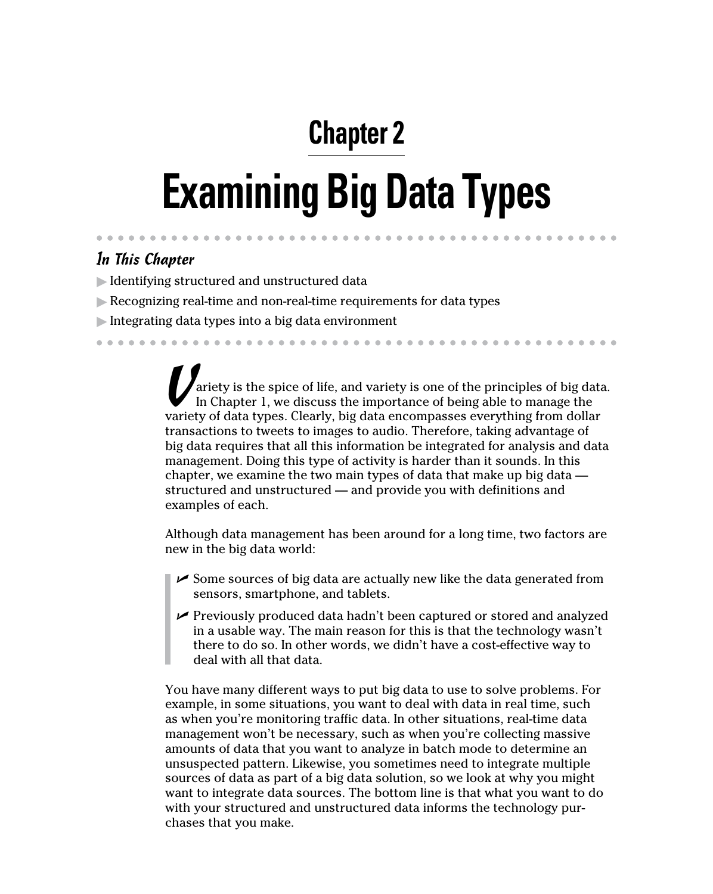# **Chapter 2 Examining Big Data Types**

#### In This Chapter

. . . . . . . . . . . . .

- ▶ Identifying structured and unstructured data
- ▶ Recognizing real-time and non-real-time requirements for data types
- ▶ Integrating data types into a big data environment

Acriety is the spice of life, and variety is one of the principles of big data. In Chapter 1, we discuss the importance of being able to manage the variety of data types. Clearly, big data encompasses everything from dollar transactions to tweets to images to audio. Therefore, taking advantage of big data requires that all this information be integrated for analysis and data management. Doing this type of activity is harder than it sounds. In this chapter, we examine the two main types of data that make up big data structured and unstructured — and provide you with definitions and examples of each.

...........

................................

Although data management has been around for a long time, two factors are new in the big data world:

- $\triangleright$  Some sources of big data are actually new like the data generated from sensors, smartphone, and tablets.
- ✓ Previously produced data hadn't been captured or stored and analyzed in a usable way. The main reason for this is that the technology wasn't there to do so. In other words, we didn't have a cost-effective way to deal with all that data.

You have many different ways to put big data to use to solve problems. For example, in some situations, you want to deal with data in real time, such as when you're monitoring traffic data. In other situations, real-time data management won't be necessary, such as when you're collecting massive amounts of data that you want to analyze in batch mode to determine an unsuspected pattern. Likewise, you sometimes need to integrate multiple sources of data as part of a big data solution, so we look at why you might want to integrate data sources. The bottom line is that what you want to do with your structured and unstructured data informs the technology purchases that you make.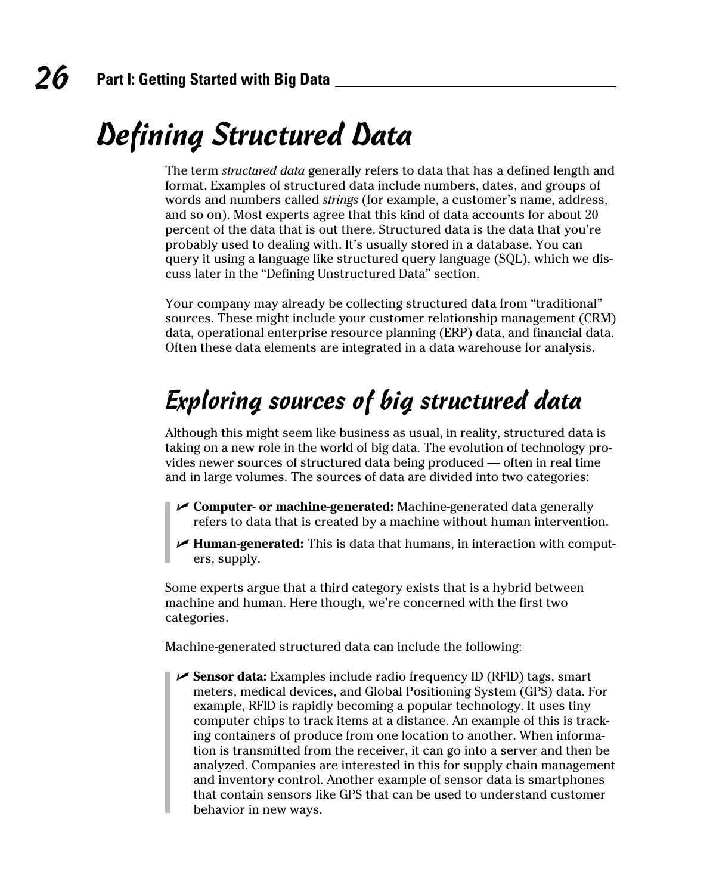## Defining Structured Data

The term *structured data* generally refers to data that has a defined length and format. Examples of structured data include numbers, dates, and groups of words and numbers called *strings* (for example, a customer's name, address, and so on). Most experts agree that this kind of data accounts for about 20 percent of the data that is out there. Structured data is the data that you're probably used to dealing with. It's usually stored in a database. You can query it using a language like structured query language (SQL), which we discuss later in the "Defining Unstructured Data" section.

Your company may already be collecting structured data from "traditional" sources. These might include your customer relationship management (CRM) data, operational enterprise resource planning (ERP) data, and financial data. Often these data elements are integrated in a data warehouse for analysis.

### Exploring sources of big structured data

Although this might seem like business as usual, in reality, structured data is taking on a new role in the world of big data. The evolution of technology provides newer sources of structured data being produced — often in real time and in large volumes. The sources of data are divided into two categories:

- ✓ **Computer- or machine-generated:** Machine-generated data generally refers to data that is created by a machine without human intervention.
- ✓ **Human-generated:** This is data that humans, in interaction with computers, supply.

Some experts argue that a third category exists that is a hybrid between machine and human. Here though, we're concerned with the first two categories.

Machine-generated structured data can include the following:

✓ **Sensor data:** Examples include radio frequency ID (RFID) tags, smart meters, medical devices, and Global Positioning System (GPS) data. For example, RFID is rapidly becoming a popular technology. It uses tiny computer chips to track items at a distance. An example of this is tracking containers of produce from one location to another. When information is transmitted from the receiver, it can go into a server and then be analyzed. Companies are interested in this for supply chain management and inventory control. Another example of sensor data is smartphones that contain sensors like GPS that can be used to understand customer behavior in new ways.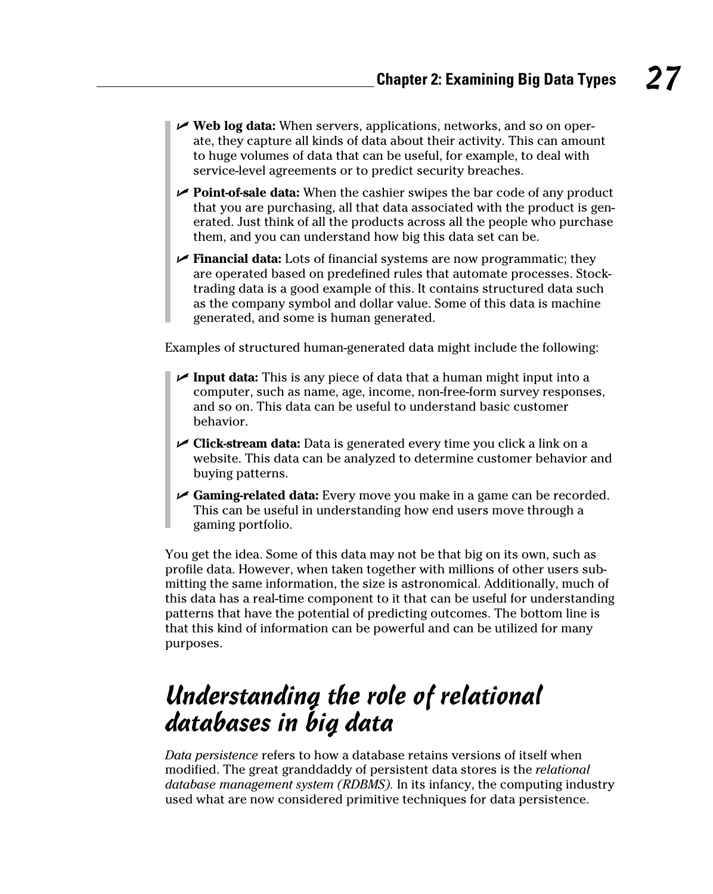- ✓ **Web log data:** When servers, applications, networks, and so on operate, they capture all kinds of data about their activity. This can amount to huge volumes of data that can be useful, for example, to deal with service-level agreements or to predict security breaches.
- ✓ **Point-of-sale data:** When the cashier swipes the bar code of any product that you are purchasing, all that data associated with the product is generated. Just think of all the products across all the people who purchase them, and you can understand how big this data set can be.
- ✓ **Financial data:** Lots of financial systems are now programmatic; they are operated based on predefined rules that automate processes. Stocktrading data is a good example of this. It contains structured data such as the company symbol and dollar value. Some of this data is machine generated, and some is human generated.

Examples of structured human-generated data might include the following:

- ✓ **Input data:** This is any piece of data that a human might input into a computer, such as name, age, income, non-free-form survey responses, and so on. This data can be useful to understand basic customer behavior.
- ✓ **Click-stream data:** Data is generated every time you click a link on a website. This data can be analyzed to determine customer behavior and buying patterns.
- ✓ **Gaming-related data:** Every move you make in a game can be recorded. This can be useful in understanding how end users move through a gaming portfolio.

You get the idea. Some of this data may not be that big on its own, such as profile data. However, when taken together with millions of other users submitting the same information, the size is astronomical. Additionally, much of this data has a real-time component to it that can be useful for understanding patterns that have the potential of predicting outcomes. The bottom line is that this kind of information can be powerful and can be utilized for many purposes.

### Understanding the role of relational databases in big data

*Data persistence* refers to how a database retains versions of itself when modified. The great granddaddy of persistent data stores is the *relational database management system (RDBMS).* In its infancy, the computing industry used what are now considered primitive techniques for data persistence.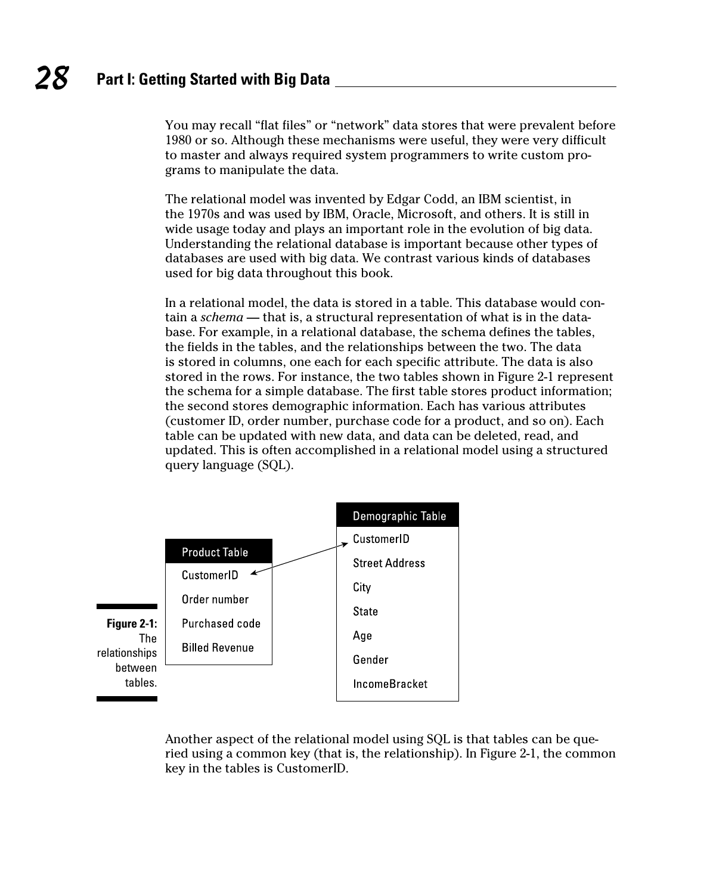You may recall "flat files" or "network" data stores that were prevalent before 1980 or so. Although these mechanisms were useful, they were very difficult to master and always required system programmers to write custom programs to manipulate the data.

The relational model was invented by Edgar Codd, an IBM scientist, in the 1970s and was used by IBM, Oracle, Microsoft, and others. It is still in wide usage today and plays an important role in the evolution of big data. Understanding the relational database is important because other types of databases are used with big data. We contrast various kinds of databases used for big data throughout this book.

In a relational model, the data is stored in a table. This database would contain a *schema* — that is, a structural representation of what is in the database. For example, in a relational database, the schema defines the tables, the fields in the tables, and the relationships between the two. The data is stored in columns, one each for each specific attribute. The data is also stored in the rows. For instance, the two tables shown in Figure 2-1 represent the schema for a simple database. The first table stores product information; the second stores demographic information. Each has various attributes (customer ID, order number, purchase code for a product, and so on). Each table can be updated with new data, and data can be deleted, read, and updated. This is often accomplished in a relational model using a structured query language (SQL).



Another aspect of the relational model using SQL is that tables can be queried using a common key (that is, the relationship). In Figure 2-1, the common key in the tables is CustomerID.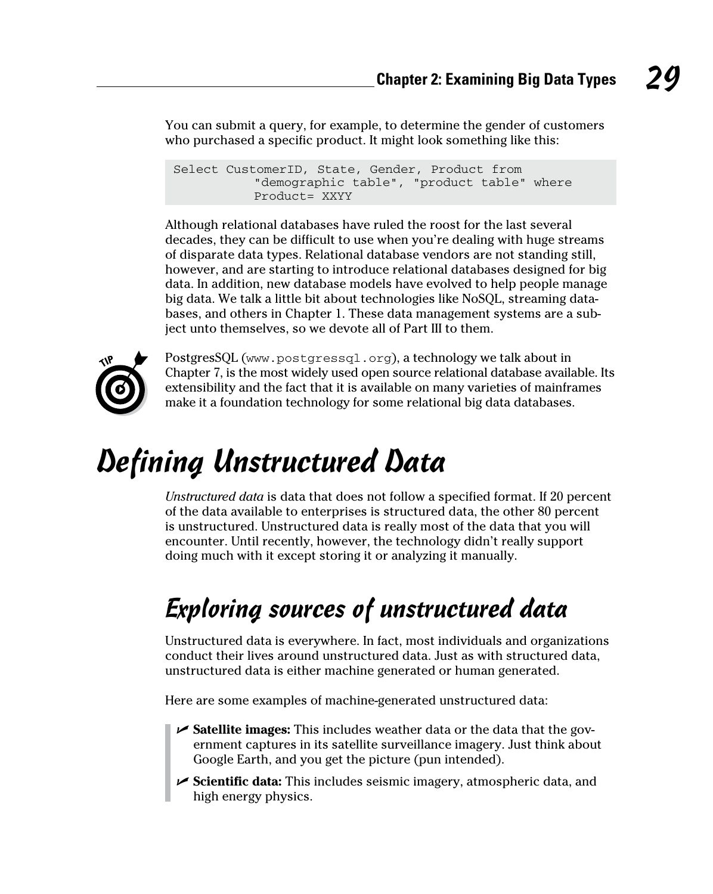You can submit a query, for example, to determine the gender of customers who purchased a specific product. It might look something like this:

```
Select CustomerID, State, Gender, Product from 
"demographic table", "product table" where 
Product= XXYY
```
Although relational databases have ruled the roost for the last several decades, they can be difficult to use when you're dealing with huge streams of disparate data types. Relational database vendors are not standing still, however, and are starting to introduce relational databases designed for big data. In addition, new database models have evolved to help people manage big data. We talk a little bit about technologies like NoSQL, streaming databases, and ot[hers in Chapter 1. These d](http://www.postgressql.org)ata management systems are a subject unto themselves, so we devote all of Part III to them.



PostgresSQL (www.postgressql.org), a technology we talk about in Chapter 7, is the most widely used open source relational database available. Its extensibility and the fact that it is available on many varieties of mainframes make it a foundation technology for some relational big data databases.

## Defining Unstructured Data

*Unstructured data* is data that does not follow a specified format. If 20 percent of the data available to enterprises is structured data, the other 80 percent is unstructured. Unstructured data is really most of the data that you will encounter. Until recently, however, the technology didn't really support doing much with it except storing it or analyzing it manually.

### Exploring sources of unstructured data

Unstructured data is everywhere. In fact, most individuals and organizations conduct their lives around unstructured data. Just as with structured data, unstructured data is either machine generated or human generated.

Here are some examples of machine-generated unstructured data:

- ✓ **Satellite images:** This includes weather data or the data that the government captures in its satellite surveillance imagery. Just think about Google Earth, and you get the picture (pun intended).
- ✓ **Scientific data:** This includes seismic imagery, atmospheric data, and high energy physics.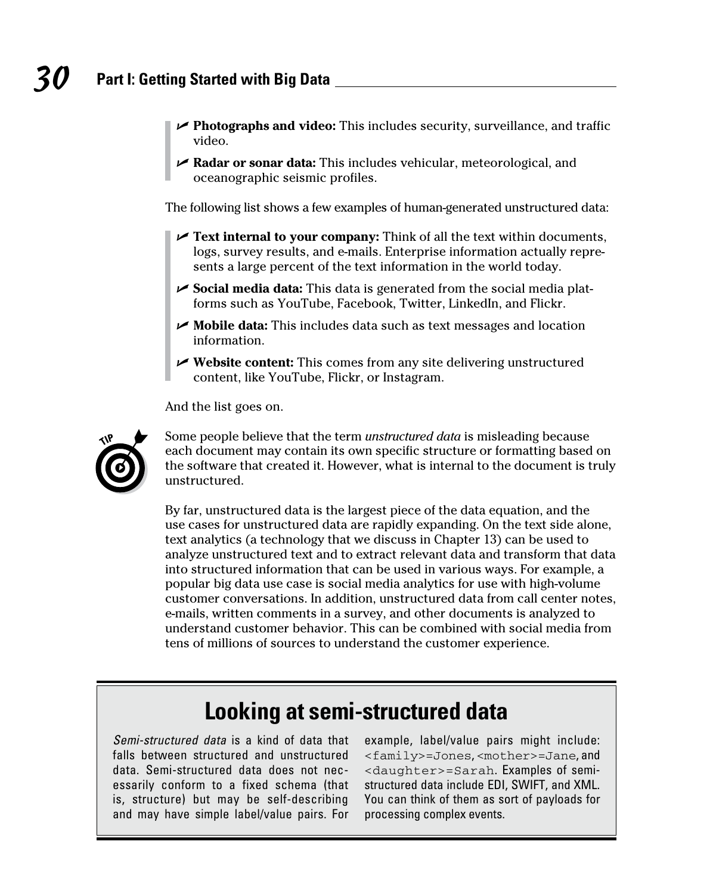- ✓ **Photographs and video:** This includes security, surveillance, and traffic video.
- ✓ **Radar or sonar data:** This includes vehicular, meteorological, and oceanographic seismic profiles.

The following list shows a few examples of human-generated unstructured data:

- ✓ **Text internal to your company:** Think of all the text within documents, logs, survey results, and e-mails. Enterprise information actually represents a large percent of the text information in the world today.
- ✓ **Social media data:** This data is generated from the social media platforms such as YouTube, Facebook, Twitter, LinkedIn, and Flickr.
- ✓ **Mobile data:** This includes data such as text messages and location information.
- ✓ **Website content:** This comes from any site delivering unstructured content, like YouTube, Flickr, or Instagram.

And the list goes on.



Some people believe that the term *unstructured data* is misleading because each document may contain its own specific structure or formatting based on the software that created it. However, what is internal to the document is truly unstructured.

By far, unstructured data is the largest piece of the data equation, and the use cases for unstructured data are rapidly expanding. On the text side alone, text analytics (a technology that we discuss in Chapter 13) can be used to analyze unstructured text and to extract relevant data and transform that data into structured information that can be used in various ways. For example, a popular big data use case is social media analytics for use with high-volume customer conversations. In addition, unstructured data from call center notes, e-mails, written comments in a survey, and other documents is analyzed to understand customer behavior. This can be combined with social media from tens of millions of sources to understand the customer experience.

#### **Looking at semi-structured data**

*Semi-structured data* is a kind of data that falls between structured and unstructured data. Semi-structured data does not necessarily conform to a fixed schema (that is, structure) but may be self-describing and may have simple label/value pairs. For

example, label/value pairs might include: <family>=Jones, <mother>=Jane, and <daughter>=Sarah. Examples of semistructured data include EDI, SWIFT, and XML. You can think of them as sort of payloads for processing complex events.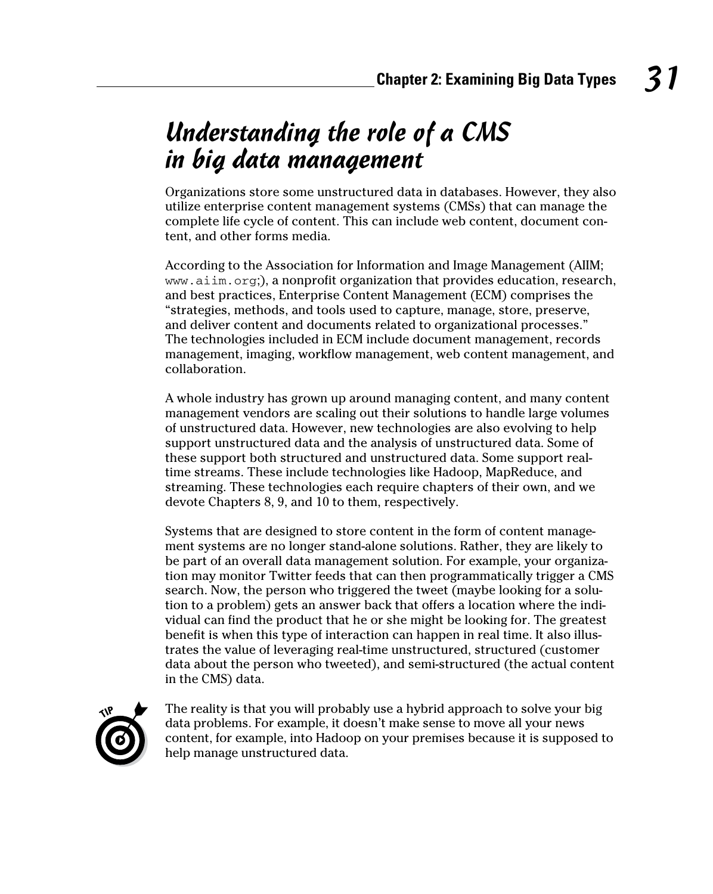### Understanding the role of a CMS in big data management

Organizations store some unstructured data in databases. However, they also utilize enterprise content management systems (CMSs) that can manage the complete life cycle of content. This can include web content, document content, and other forms media.

According to the Association for Information and Image Management (AIIM; [www.aiim.org](http://www.aiim.org);), a nonprofit organization that provides education, research, and best practices, Enterprise Content Management (ECM) comprises the "strategies, methods, and tools used to capture, manage, store, preserve, and deliver content and documents related to organizational processes." The technologies included in ECM include document management, records management, imaging, workflow management, web content management, and collaboration.

A whole industry has grown up around managing content, and many content management vendors are scaling out their solutions to handle large volumes of unstructured data. However, new technologies are also evolving to help support unstructured data and the analysis of unstructured data. Some of these support both structured and unstructured data. Some support realtime streams. These include technologies like Hadoop, MapReduce, and streaming. These technologies each require chapters of their own, and we devote Chapters 8, 9, and 10 to them, respectively.

Systems that are designed to store content in the form of content management systems are no longer stand-alone solutions. Rather, they are likely to be part of an overall data management solution. For example, your organization may monitor Twitter feeds that can then programmatically trigger a CMS search. Now, the person who triggered the tweet (maybe looking for a solution to a problem) gets an answer back that offers a location where the individual can find the product that he or she might be looking for. The greatest benefit is when this type of interaction can happen in real time. It also illustrates the value of leveraging real-time unstructured, structured (customer data about the person who tweeted), and semi-structured (the actual content in the CMS) data.



The reality is that you will probably use a hybrid approach to solve your big data problems. For example, it doesn't make sense to move all your news content, for example, into Hadoop on your premises because it is supposed to help manage unstructured data.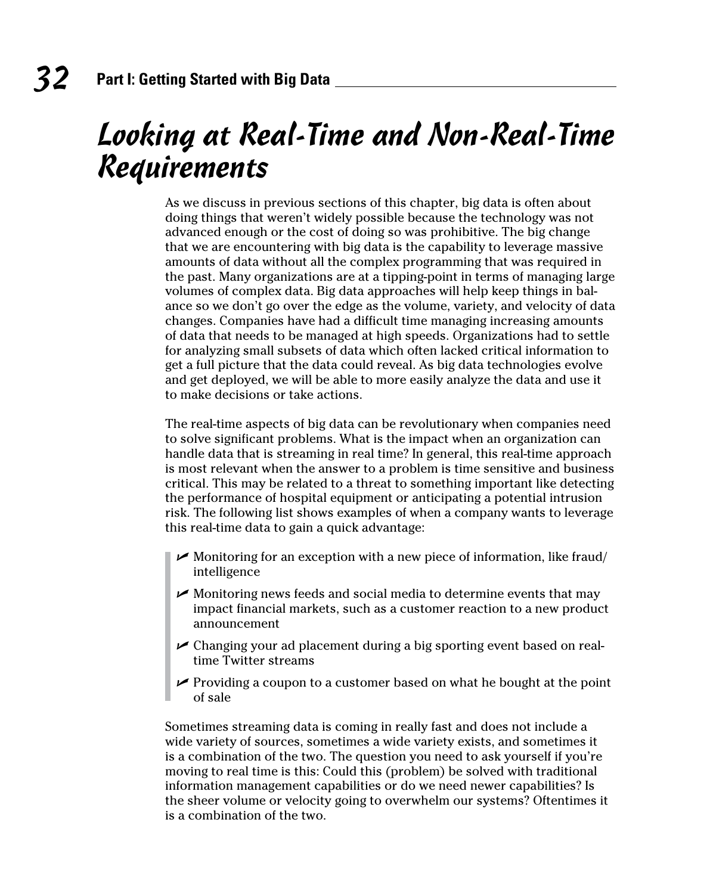### Looking at Real-Time and Non-Real-Time Requirements

As we discuss in previous sections of this chapter, big data is often about doing things that weren't widely possible because the technology was not advanced enough or the cost of doing so was prohibitive. The big change that we are encountering with big data is the capability to leverage massive amounts of data without all the complex programming that was required in the past. Many organizations are at a tipping-point in terms of managing large volumes of complex data. Big data approaches will help keep things in balance so we don't go over the edge as the volume, variety, and velocity of data changes. Companies have had a difficult time managing increasing amounts of data that needs to be managed at high speeds. Organizations had to settle for analyzing small subsets of data which often lacked critical information to get a full picture that the data could reveal. As big data technologies evolve and get deployed, we will be able to more easily analyze the data and use it to make decisions or take actions.

The real-time aspects of big data can be revolutionary when companies need to solve significant problems. What is the impact when an organization can handle data that is streaming in real time? In general, this real-time approach is most relevant when the answer to a problem is time sensitive and business critical. This may be related to a threat to something important like detecting the performance of hospital equipment or anticipating a potential intrusion risk. The following list shows examples of when a company wants to leverage this real-time data to gain a quick advantage:

- $\blacktriangleright$  Monitoring for an exception with a new piece of information, like fraud/ intelligence
- $\triangleright$  Monitoring news feeds and social media to determine events that may impact financial markets, such as a customer reaction to a new product announcement
- $\triangleright$  Changing your ad placement during a big sporting event based on realtime Twitter streams
- Providing a coupon to a customer based on what he bought at the point of sale

Sometimes streaming data is coming in really fast and does not include a wide variety of sources, sometimes a wide variety exists, and sometimes it is a combination of the two. The question you need to ask yourself if you're moving to real time is this: Could this (problem) be solved with traditional information management capabilities or do we need newer capabilities? Is the sheer volume or velocity going to overwhelm our systems? Oftentimes it is a combination of the two.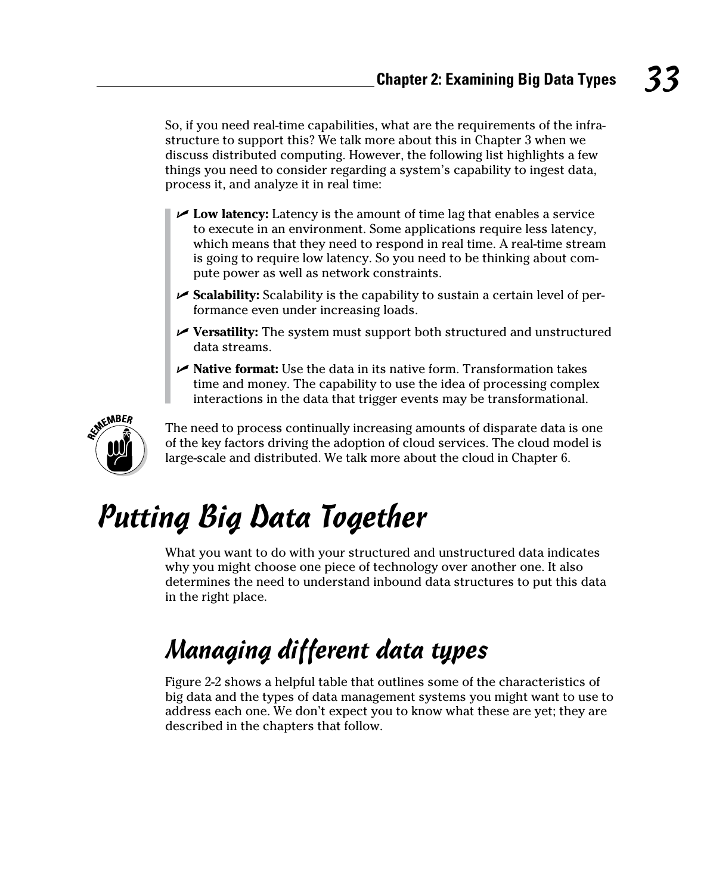So, if you need real-time capabilities, what are the requirements of the infrastructure to support this? We talk more about this in Chapter 3 when we discuss distributed computing. However, the following list highlights a few things you need to consider regarding a system's capability to ingest data, process it, and analyze it in real time:

- ✓ **Low latency:** Latency is the amount of time lag that enables a service to execute in an environment. Some applications require less latency, which means that they need to respond in real time. A real-time stream is going to require low latency. So you need to be thinking about compute power as well as network constraints.
- ✓ **Scalability:** Scalability is the capability to sustain a certain level of performance even under increasing loads.
- ✓ **Versatility:** The system must support both structured and unstructured data streams.
- ✓ **Native format:** Use the data in its native form. Transformation takes time and money. The capability to use the idea of processing complex interactions in the data that trigger events may be transformational.



The need to process continually increasing amounts of disparate data is one of the key factors driving the adoption of cloud services. The cloud model is large-scale and distributed. We talk more about the cloud in Chapter 6.

## Putting Big Data Together

What you want to do with your structured and unstructured data indicates why you might choose one piece of technology over another one. It also determines the need to understand inbound data structures to put this data in the right place.

### Managing different data types

Figure 2-2 shows a helpful table that outlines some of the characteristics of big data and the types of data management systems you might want to use to address each one. We don't expect you to know what these are yet; they are described in the chapters that follow.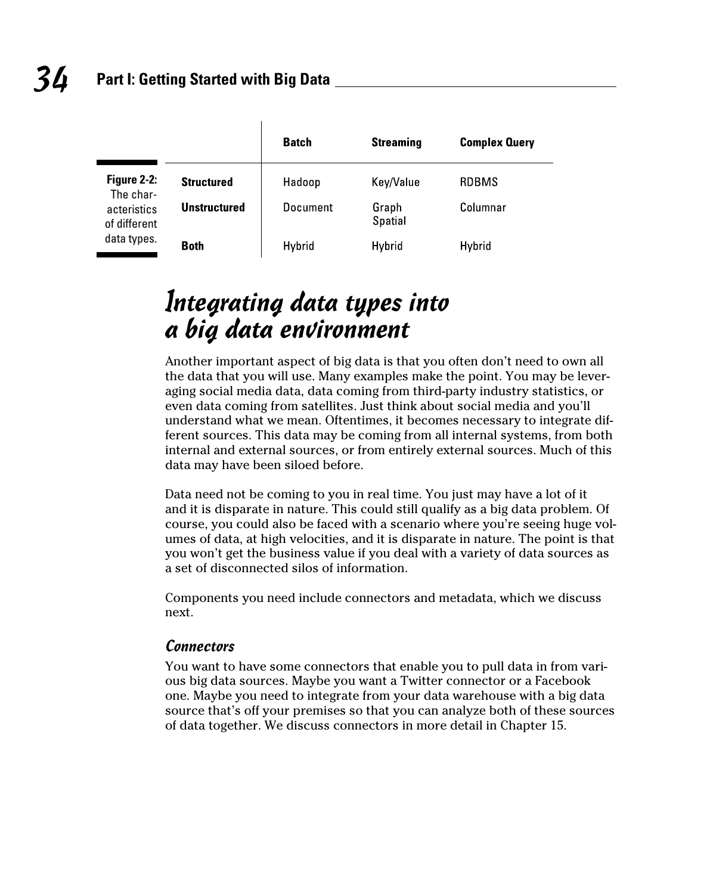$\mathbf{I}$ 

|                                                                        |                     | <b>Batch</b> | <b>Streaming</b> | <b>Complex Query</b> |
|------------------------------------------------------------------------|---------------------|--------------|------------------|----------------------|
| Figure 2-2:<br>The char-<br>acteristics<br>of different<br>data types. | <b>Structured</b>   | Hadoop       | Key/Value        | <b>RDBMS</b>         |
|                                                                        | <b>Unstructured</b> | Document     | Graph<br>Spatial | Columnar             |
|                                                                        | <b>Both</b>         | Hybrid       | Hybrid           | Hybrid               |

### Integrating data types into a big data environment

Another important aspect of big data is that you often don't need to own all the data that you will use. Many examples make the point. You may be leveraging social media data, data coming from third-party industry statistics, or even data coming from satellites. Just think about social media and you'll understand what we mean. Oftentimes, it becomes necessary to integrate different sources. This data may be coming from all internal systems, from both internal and external sources, or from entirely external sources. Much of this data may have been siloed before.

Data need not be coming to you in real time. You just may have a lot of it and it is disparate in nature. This could still qualify as a big data problem. Of course, you could also be faced with a scenario where you're seeing huge volumes of data, at high velocities, and it is disparate in nature. The point is that you won't get the business value if you deal with a variety of data sources as a set of disconnected silos of information.

Components you need include connectors and metadata, which we discuss next.

#### **Connectors**

You want to have some connectors that enable you to pull data in from various big data sources. Maybe you want a Twitter connector or a Facebook one. Maybe you need to integrate from your data warehouse with a big data source that's off your premises so that you can analyze both of these sources of data together. We discuss connectors in more detail in Chapter 15.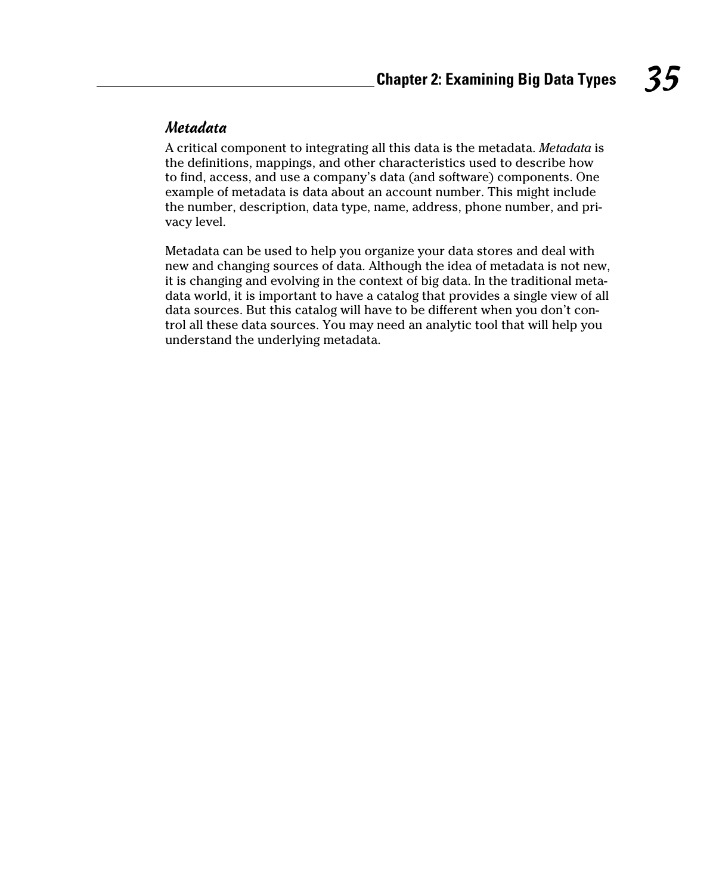#### Metadata

A critical component to integrating all this data is the metadata. *Metadata* is the definitions, mappings, and other characteristics used to describe how to find, access, and use a company's data (and software) components. One example of metadata is data about an account number. This might include the number, description, data type, name, address, phone number, and privacy level.

Metadata can be used to help you organize your data stores and deal with new and changing sources of data. Although the idea of metadata is not new, it is changing and evolving in the context of big data. In the traditional metadata world, it is important to have a catalog that provides a single view of all data sources. But this catalog will have to be different when you don't control all these data sources. You may need an analytic tool that will help you understand the underlying metadata.